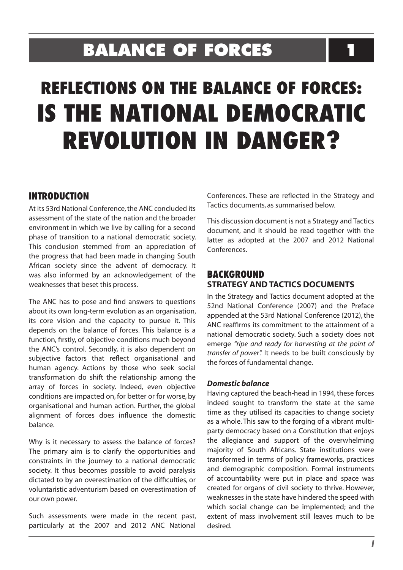# **BALANCE OF FORCES 1**

# **REFLECTIONS ON THE BALANCE OF FORCES: IS THE NATIONAL DEMOCRATIC REVOLUTION IN DANGER?**

# **INTRODUCTION**

At its 53rd National Conference,the ANC concluded its assessment of the state of the nation and the broader environment in which we live by calling for a second phase of transition to a national democratic society. This conclusion stemmed from an appreciation of the progress that had been made in changing South African society since the advent of democracy. It was also informed by an acknowledgement of the weaknesses that beset this process.

The ANC has to pose and find answers to questions about its own long-term evolution as an organisation, its core vision and the capacity to pursue it. This depends on the balance of forces. This balance is a function, firstly, of objective conditions much beyond the ANC's control. Secondly, it is also dependent on subjective factors that reflect organisational and human agency. Actions by those who seek social transformation do shift the relationship among the array of forces in society. Indeed, even objective conditions are impacted on, for better or for worse, by organisational and human action. Further, the global alignment of forces does influence the domestic balance.

Why is it necessary to assess the balance of forces? The primary aim is to clarify the opportunities and constraints in the journey to a national democratic society. It thus becomes possible to avoid paralysis dictated to by an overestimation of the difficulties, or voluntaristic adventurism based on overestimation of our own power.

Such assessments were made in the recent past, particularly at the 2007 and 2012 ANC National Conferences. These are reflected in the Strategy and Tactics documents, as summarised below.

This discussion document is not a Strategy and Tactics document, and it should be read together with the latter as adopted at the 2007 and 2012 National Conferences.

# **BACKGROUND STRATEGY AND TACTICS DOCUMENTS**

In the Strategy and Tactics document adopted at the 52nd National Conference (2007) and the Preface appended at the 53rd National Conference (2012), the ANC reaffirms its commitment to the attainment of a national democratic society. Such a society does not emerge *"ripe and ready for harvesting at the point of transfer of power".* It needs to be built consciously by the forces of fundamental change.

#### *Domestic balance*

Having captured the beach-head in 1994, these forces indeed sought to transform the state at the same time as they utilised its capacities to change society as a whole. This saw to the forging of a vibrant multiparty democracy based on a Constitution that enjoys the allegiance and support of the overwhelming majority of South Africans. State institutions were transformed in terms of policy frameworks, practices and demographic composition. Formal instruments of accountability were put in place and space was created for organs of civil society to thrive. However, weaknesses in the state have hindered the speed with which social change can be implemented; and the extent of mass involvement still leaves much to be desired.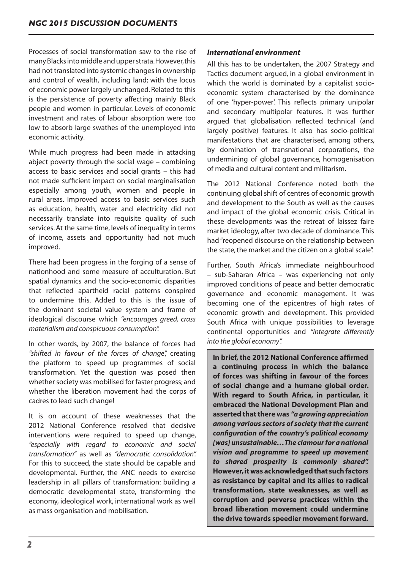Processes of social transformation saw to the rise of manyBlacksintomiddle andupperstrata.However,this had not translated into systemic changes in ownership and control of wealth, including land; with the locus of economic power largely unchanged. Related to this is the persistence of poverty affecting mainly Black people and women in particular. Levels of economic investment and rates of labour absorption were too low to absorb large swathes of the unemployed into economic activity.

While much progress had been made in attacking abject poverty through the social wage – combining access to basic services and social grants – this had not made sufficient impact on social marginalisation especially among youth, women and people in rural areas. Improved access to basic services such as education, health, water and electricity did not necessarily translate into requisite quality of such services.At the same time, levels of inequality in terms of income, assets and opportunity had not much improved.

There had been progress in the forging of a sense of nationhood and some measure of acculturation. But spatial dynamics and the socio-economic disparities that reflected apartheid racial patterns conspired to undermine this. Added to this is the issue of the dominant societal value system and frame of ideological discourse which *"encourages greed, crass materialism and conspicuous consumption".* 

In other words, by 2007, the balance of forces had *"shifted in favour of the forces of change",* creating the platform to speed up programmes of social transformation. Yet the question was posed then whether society was mobilised for faster progress; and whether the liberation movement had the corps of cadres to lead such change!

It is on account of these weaknesses that the 2012 National Conference resolved that decisive interventions were required to speed up change, *"especially with regard to economic and social transformation"* as well as *"democratic consolidation".*  For this to succeed, the state should be capable and developmental. Further, the ANC needs to exercise leadership in all pillars of transformation: building a democratic developmental state, transforming the economy, ideological work, international work as well as mass organisation and mobilisation.

### *International environment*

All this has to be undertaken, the 2007 Strategy and Tactics document argued, in a global environment in which the world is dominated by a capitalist socioeconomic system characterised by the dominance of one 'hyper-power'. This reflects primary unipolar and secondary multipolar features. It was further argued that globalisation reflected technical (and largely positive) features. It also has socio-political manifestations that are characterised, among others, by domination of transnational corporations, the undermining of global governance, homogenisation of media and cultural content and militarism.

The 2012 National Conference noted both the continuing global shift of centres of economic growth and development to the South as well as the causes and impact of the global economic crisis. Critical in these developments was the retreat of laissez faire market ideology, after two decade of dominance. This had"reopened discourse on the relationship between the state, the market and the citizen on a global scale".

Further, South Africa's immediate neighbourhood – sub-Saharan Africa – was experiencing not only improved conditions of peace and better democratic governance and economic management. It was becoming one of the epicentres of high rates of economic growth and development. This provided South Africa with unique possibilities to leverage continental opportunities and *"integrate differently into the global economy".*

**In brief, the 2012 National Conference affirmed a continuing process in which the balance of forces was shifting in favour of the forces of social change and a humane global order. With regard to South Africa, in particular, it embraced the National Development Plan and asserted that there was** *"a growing appreciation among various sectors of society that the current configuration of the country's political economy [was] unsustainable…The clamour for a national vision and programme to speed up movement to shared prosperity is commonly shared".* **However, it was acknowledged that such factors as resistance by capital and its allies to radical transformation, state weaknesses, as well as corruption and perverse practices within the broad liberation movement could undermine the drive towards speedier movement forward.**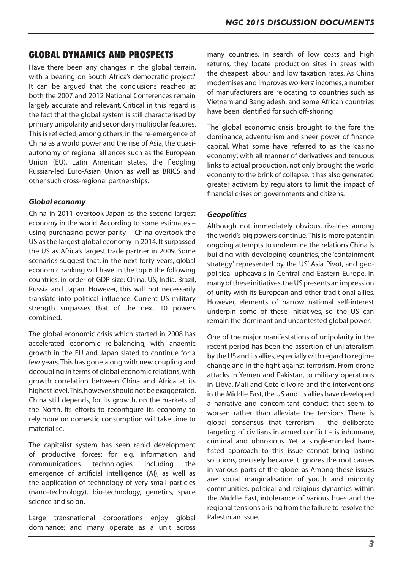# **GLOBAL DYNAMICS AND PROSPECTS**

Have there been any changes in the global terrain, with a bearing on South Africa's democratic project? It can be argued that the conclusions reached at both the 2007 and 2012 National Conferences remain largely accurate and relevant. Critical in this regard is the fact that the global system is still characterised by primary unipolarity and secondary multipolar features. This is reflected, among others, in the re-emergence of China as a world power and the rise of Asia, the quasiautonomy of regional alliances such as the European Union (EU), Latin American states, the fledgling Russian-led Euro-Asian Union as well as BRICS and other such cross-regional partnerships.

#### *Global economy*

China in 2011 overtook Japan as the second largest economy in the world. According to some estimates – using purchasing power parity – China overtook the US as the largest global economy in 2014. It surpassed the US as Africa's largest trade partner in 2009. Some scenarios suggest that, in the next forty years, global economic ranking will have in the top 6 the following countries, in order of GDP size: China, US, India, Brazil, Russia and Japan. However, this will not necessarily translate into political influence. Current US military strength surpasses that of the next 10 powers combined.

The global economic crisis which started in 2008 has accelerated economic re-balancing, with anaemic growth in the EU and Japan slated to continue for a few years.This has gone along with new coupling and decoupling in terms of global economic relations,with growth correlation between China and Africa at its highest level. This, however, should not be exaggerated. China still depends, for its growth, on the markets of the North. Its efforts to reconfigure its economy to rely more on domestic consumption will take time to materialise.

The capitalist system has seen rapid development of productive forces: for e.g. information and communications technologies including the emergence of artificial intelligence (AI), as well as the application of technology of very small particles (nano-technology), bio-technology, genetics, space science and so on.

Large transnational corporations enjoy global dominance; and many operate as a unit across

many countries. In search of low costs and high returns, they locate production sites in areas with the cheapest labour and low taxation rates. As China modernises and improves workers' incomes, a number of manufacturers are relocating to countries such as Vietnam and Bangladesh; and some African countries have been identified for such off-shoring

The global economic crisis brought to the fore the dominance, adventurism and sheer power of finance capital. What some have referred to as the 'casino economy', with all manner of derivatives and tenuous links to actual production, not only brought the world economy to the brink of collapse. It has also generated greater activism by regulators to limit the impact of financial crises on governments and citizens.

#### *Geopolitics*

Although not immediately obvious, rivalries among the world's big powers continue.This is more patent in ongoing attempts to undermine the relations China is building with developing countries, the 'containment strategy' represented by the US' Asia Pivot, and geopolitical upheavals in Central and Eastern Europe. In many of these initiatives, the US presents an impression of unity with its European and other traditional allies. However, elements of narrow national self-interest underpin some of these initiatives, so the US can remain the dominant and uncontested global power.

One of the major manifestations of unipolarity in the recent period has been the assertion of unilateralism by the US and its allies, especially with regard to regime change and in the fight against terrorism. From drone attacks in Yemen and Pakistan, to military operations in Libya, Mali and Cote d'Ivoire and the interventions in the Middle East, the US and its allies have developed a narrative and concomitant conduct that seem to worsen rather than alleviate the tensions. There is global consensus that terrorism – the deliberate targeting of civilians in armed conflict – is inhumane, criminal and obnoxious. Yet a single-minded hamfisted approach to this issue cannot bring lasting solutions, precisely because it ignores the root causes in various parts of the globe. as Among these issues are: social marginalisation of youth and minority communities, political and religious dynamics within the Middle East, intolerance of various hues and the regional tensions arising from the failure to resolve the Palestinian issue.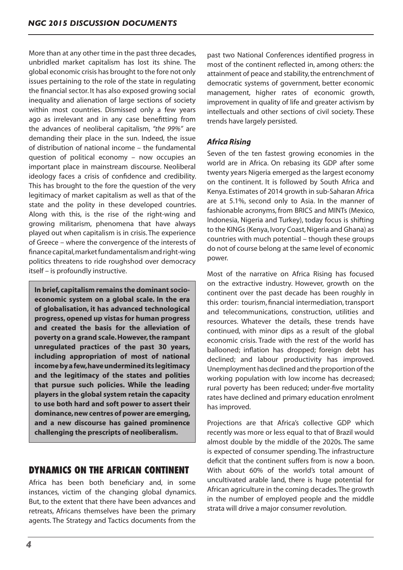More than at any other time in the past three decades, unbridled market capitalism has lost its shine. The global economic crisis has brought to the fore not only issues pertaining to the role of the state in regulating the financial sector. It has also exposed growing social inequality and alienation of large sections of society within most countries. Dismissed only a few years ago as irrelevant and in any case benefitting from the advances of neoliberal capitalism, *"the 99%"* are demanding their place in the sun. Indeed, the issue of distribution of national income – the fundamental question of political economy – now occupies an important place in mainstream discourse. Neoliberal ideology faces a crisis of confidence and credibility. This has brought to the fore the question of the very legitimacy of market capitalism as well as that of the state and the polity in these developed countries. Along with this, is the rise of the right-wing and growing militarism, phenomena that have always played out when capitalism is in crisis.The experience of Greece – where the convergence of the interests of finance capital, market fundamentalism and right-wing politics threatens to ride roughshod over democracy itself – is profoundly instructive.

**In brief, capitalism remains the dominant socioeconomic system on a global scale. In the era of globalisation, it has advanced technological progress, opened up vistas for human progress and created the basis for the alleviation of poverty on a grand scale. However, the rampant unregulated practices of the past 30 years, including appropriation of most of national income by a few, have undermined its legitimacy and the legitimacy of the states and polities that pursue such policies. While the leading players in the global system retain the capacity to use both hard and soft power to assert their dominance, new centres of power are emerging, and a new discourse has gained prominence challenging the prescripts of neoliberalism.**

# **DYNAMICS ON THE AFRICAN CONTINENT**

Africa has been both beneficiary and, in some instances, victim of the changing global dynamics. But, to the extent that there have been advances and retreats, Africans themselves have been the primary agents. The Strategy and Tactics documents from the

past two National Conferences identified progress in most of the continent reflected in, among others: the attainment of peace and stability,the entrenchment of democratic systems of government, better economic management, higher rates of economic growth, improvement in quality of life and greater activism by intellectuals and other sections of civil society. These trends have largely persisted.

# *Africa Rising*

Seven of the ten fastest growing economies in the world are in Africa. On rebasing its GDP after some twenty years Nigeria emerged as the largest economy on the continent. It is followed by South Africa and Kenya. Estimates of 2014 growth in sub-Saharan Africa are at 5.1%, second only to Asia. In the manner of fashionable acronyms, from BRICS and MINTs (Mexico, Indonesia, Nigeria and Turkey), today focus is shifting to the KINGs(Kenya,Ivory Coast,Nigeria and Ghana) as countries with much potential – though these groups do not of course belong at the same level of economic power.

Most of the narrative on Africa Rising has focused on the extractive industry. However, growth on the continent over the past decade has been roughly in this order: tourism, financial intermediation, transport and telecommunications, construction, utilities and resources. Whatever the details, these trends have continued, with minor dips as a result of the global economic crisis. Trade with the rest of the world has ballooned; inflation has dropped; foreign debt has declined; and labour productivity has improved. Unemployment has declined and the proportion of the working population with low income has decreased; rural poverty has been reduced; under-five mortality rates have declined and primary education enrolment has improved.

Projections are that Africa's collective GDP which recently was more or less equal to that of Brazil would almost double by the middle of the 2020s. The same is expected of consumer spending. The infrastructure deficit that the continent suffers from is now a boon. With about 60% of the world's total amount of uncultivated arable land, there is huge potential for African agriculture in the coming decades.The growth in the number of employed people and the middle strata will drive a major consumer revolution.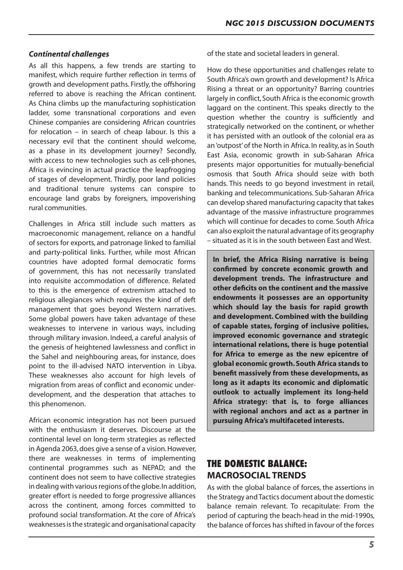#### *Continental challenges*

As all this happens, a few trends are starting to manifest, which require further reflection in terms of growth and development paths. Firstly, the offshoring referred to above is reaching the African continent. As China climbs up the manufacturing sophistication ladder, some transnational corporations and even Chinese companies are considering African countries for relocation – in search of cheap labour. Is this a necessary evil that the continent should welcome, as a phase in its development journey? Secondly, with access to new technologies such as cell-phones, Africa is evincing in actual practice the leapfrogging of stages of development. Thirdly, poor land policies and traditional tenure systems can conspire to encourage land grabs by foreigners, impoverishing rural communities.

Challenges in Africa still include such matters as macroeconomic management, reliance on a handful of sectors for exports, and patronage linked to familial and party-political links. Further, while most African countries have adopted formal democratic forms of government, this has not necessarily translated into requisite accommodation of difference. Related to this is the emergence of extremism attached to religious allegiances which requires the kind of deft management that goes beyond Western narratives. Some global powers have taken advantage of these weaknesses to intervene in various ways, including through military invasion. Indeed, a careful analysis of the genesis of heightened lawlessness and conflict in the Sahel and neighbouring areas, for instance, does point to the ill-advised NATO intervention in Libya. These weaknesses also account for high levels of migration from areas of conflict and economic underdevelopment, and the desperation that attaches to this phenomenon.

African economic integration has not been pursued with the enthusiasm it deserves. Discourse at the continental level on long-term strategies as reflected in Agenda 2063,does give a sense of a vision.However, there are weaknesses in terms of implementing continental programmes such as NEPAD; and the continent does not seem to have collective strategies in dealing with various regions of the globe. In addition, greater effort is needed to forge progressive alliances across the continent, among forces committed to profound social transformation. At the core of Africa's weaknesses is the strategic and organisational capacity of the state and societal leaders in general.

How do these opportunities and challenges relate to South Africa's own growth and development? Is Africa Rising a threat or an opportunity? Barring countries largely in conflict, South Africa is the economic growth laggard on the continent. This speaks directly to the question whether the country is sufficiently and strategically networked on the continent, or whether it has persisted with an outlook of the colonial era as an'outpost'of the North in Africa. In reality, as in South East Asia, economic growth in sub-Saharan Africa presents major opportunities for mutually-beneficial osmosis that South Africa should seize with both hands. This needs to go beyond investment in retail, banking and telecommunications. Sub-Saharan Africa can develop shared manufacturing capacity that takes advantage of the massive infrastructure programmes which will continue for decades to come. South Africa can also exploit the natural advantage of its geography – situated as it is in the south between East and West.

**In brief, the Africa Rising narrative is being confirmed by concrete economic growth and development trends. The infrastructure and other deficits on the continent and the massive endowments it possesses are an opportunity which should lay the basis for rapid growth and development. Combined with the building of capable states, forging of inclusive polities, improved economic governance and strategic international relations, there is huge potential for Africa to emerge as the new epicentre of global economic growth. South Africa stands to benefit massively from these developments, as long as it adapts its economic and diplomatic outlook to actually implement its long-held Africa strategy: that is, to forge alliances with regional anchors and act as a partner in pursuing Africa's multifaceted interests.** 

# **THE DOMESTIC BALANCE: MACROSOCIAL TRENDS**

As with the global balance of forces, the assertions in the Strategy and Tactics document about the domestic balance remain relevant. To recapitulate: From the period of capturing the beach-head in the mid-1990s, the balance of forces has shifted in favour of the forces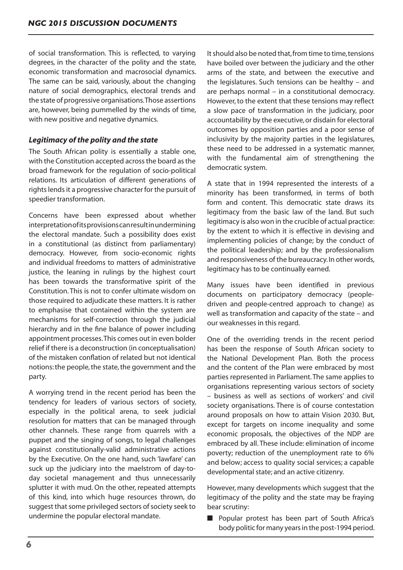of social transformation. This is reflected, to varying degrees, in the character of the polity and the state, economic transformation and macrosocial dynamics. The same can be said, variously, about the changing nature of social demographics, electoral trends and the state of progressive organisations.Those assertions are, however, being pummelled by the winds of time, with new positive and negative dynamics.

#### *Legitimacy of the polity and the state*

The South African polity is essentially a stable one, with the Constitution accepted across the board as the broad framework for the regulation of socio-political relations. Its articulation of different generations of rights lends it a progressive character for the pursuit of speedier transformation.

Concerns have been expressed about whether interpretationofitsprovisionscanresultinundermining the electoral mandate. Such a possibility does exist in a constitutional (as distinct from parliamentary) democracy. However, from socio-economic rights and individual freedoms to matters of administrative justice, the leaning in rulings by the highest court has been towards the transformative spirit of the Constitution. This is not to confer ultimate wisdom on those required to adjudicate these matters. It is rather to emphasise that contained within the system are mechanisms for self-correction through the judicial hierarchy and in the fine balance of power including appointment processes.This comes out in even bolder relief if there is a deconstruction (in conceptualisation) of the mistaken conflation of related but not identical notions: the people, the state, the government and the party.

A worrying trend in the recent period has been the tendency for leaders of various sectors of society, especially in the political arena, to seek judicial resolution for matters that can be managed through other channels. These range from quarrels with a puppet and the singing of songs, to legal challenges against constitutionally-valid administrative actions by the Executive. On the one hand, such 'lawfare' can suck up the judiciary into the maelstrom of day-today societal management and thus unnecessarily splutter it with mud. On the other, repeated attempts of this kind, into which huge resources thrown, do suggest that some privileged sectors of society seek to undermine the popular electoral mandate.

It should also be noted that, from time to time, tensions have boiled over between the judiciary and the other arms of the state, and between the executive and the legislatures. Such tensions can be healthy – and are perhaps normal – in a constitutional democracy. However,to the extent that these tensions may reflect a slow pace of transformation in the judiciary, poor accountability by the executive, or disdain for electoral outcomes by opposition parties and a poor sense of inclusivity by the majority parties in the legislatures, these need to be addressed in a systematic manner, with the fundamental aim of strengthening the democratic system.

A state that in 1994 represented the interests of a minority has been transformed, in terms of both form and content. This democratic state draws its legitimacy from the basic law of the land. But such legitimacy is also won in the crucible of actual practice: by the extent to which it is effective in devising and implementing policies of change; by the conduct of the political leadership; and by the professionalism and responsiveness of the bureaucracy.In other words, legitimacy has to be continually earned.

Many issues have been identified in previous documents on participatory democracy (peopledriven and people-centred approach to change) as well as transformation and capacity of the state – and our weaknesses in this regard.

One of the overriding trends in the recent period has been the response of South African society to the National Development Plan. Both the process and the content of the Plan were embraced by most parties represented in Parliament.The same applies to organisations representing various sectors of society – business as well as sections of workers' and civil society organisations. There is of course contestation around proposals on how to attain Vision 2030. But, except for targets on income inequality and some economic proposals, the objectives of the NDP are embraced by all. These include: elimination of income poverty; reduction of the unemployment rate to 6% and below; access to quality social services; a capable developmental state; and an active citizenry.

However, many developments which suggest that the legitimacy of the polity and the state may be fraying bear scrutiny:

Popular protest has been part of South Africa's body politic for many years in the post-1994 period.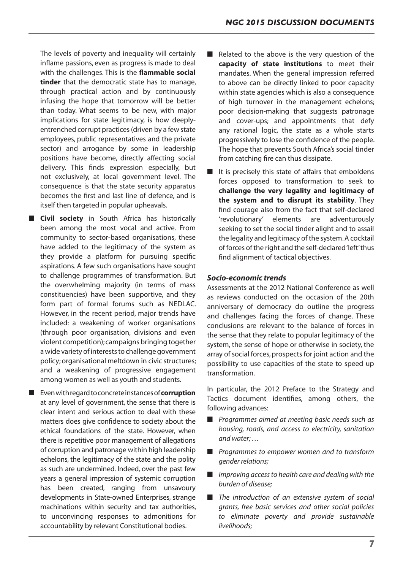The levels of poverty and inequality will certainly inflame passions, even as progress is made to deal with the challenges. This is the **flammable social tinder** that the democratic state has to manage, through practical action and by continuously infusing the hope that tomorrow will be better than today. What seems to be new, with major implications for state legitimacy, is how deeplyentrenched corrupt practices (driven by a few state employees, public representatives and the private sector) and arrogance by some in leadership positions have become, directly affecting social delivery. This finds expression especially, but not exclusively, at local government level. The consequence is that the state security apparatus becomes the first and last line of defence, and is itself then targeted in popular upheavals.

■ **Civil society** in South Africa has historically been among the most vocal and active. From community to sector-based organisations, these have added to the legitimacy of the system as they provide a platform for pursuing specific aspirations. A few such organisations have sought to challenge programmes of transformation. But the overwhelming majority (in terms of mass constituencies) have been supportive, and they form part of formal forums such as NEDLAC. However, in the recent period, major trends have included: a weakening of worker organisations (through poor organisation, divisions and even violent competition);campaigns bringing together a wide variety of interests to challenge government policy;organisational meltdown in civic structures; and a weakening of progressive engagement among women as well as youth and students.

■ Evenwithregardtoconcreteinstancesof**corruption**  at any level of government, the sense that there is clear intent and serious action to deal with these matters does give confidence to society about the ethical foundations of the state. However, when there is repetitive poor management of allegations of corruption and patronage within high leadership echelons, the legitimacy of the state and the polity as such are undermined. Indeed, over the past few years a general impression of systemic corruption has been created, ranging from unsavoury developments in State-owned Enterprises, strange machinations within security and tax authorities, to unconvincing responses to admonitions for accountability by relevant Constitutional bodies.

- Related to the above is the very question of the **capacity of state institutions** to meet their mandates. When the general impression referred to above can be directly linked to poor capacity within state agencies which is also a consequence of high turnover in the management echelons; poor decision-making that suggests patronage and cover-ups; and appointments that defy any rational logic, the state as a whole starts progressively to lose the confidence of the people. The hope that prevents South Africa's social tinder from catching fire can thus dissipate.
- It is precisely this state of affairs that emboldens forces opposed to transformation to seek to **challenge the very legality and legitimacy of the system and to disrupt its stability**. They find courage also from the fact that self-declared 'revolutionary' elements are adventurously seeking to set the social tinder alight and to assail the legality and legitimacy of the system.A cocktail of forces of the right and the self-declared'left'thus find alignment of tactical objectives.

#### *Socio-economic trends*

Assessments at the 2012 National Conference as well as reviews conducted on the occasion of the 20th anniversary of democracy do outline the progress and challenges facing the forces of change. These conclusions are relevant to the balance of forces in the sense that they relate to popular legitimacy of the system, the sense of hope or otherwise in society, the array of social forces, prospects for joint action and the possibility to use capacities of the state to speed up transformation.

In particular, the 2012 Preface to the Strategy and Tactics document identifies, among others, the following advances:

- *Programmes aimed at meeting basic needs such as housing, roads, and access to electricity, sanitation and water; …*
- *Programmes to empower women and to transform gender relations;*
- *Improving access to health care and dealing with the burden of disease;*
- *The introduction of an extensive system of social grants, free basic services and other social policies to eliminate poverty and provide sustainable livelihoods;*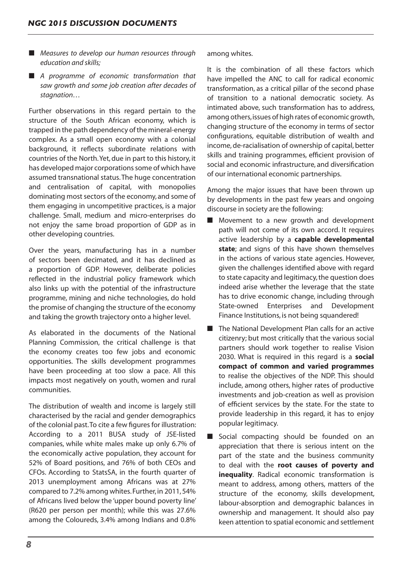- *Measures to develop our human resources through education and skills;*
- *A programme of economic transformation that saw growth and some job creation after decades of stagnation…*

Further observations in this regard pertain to the structure of the South African economy, which is trapped in the path dependency of the mineral-energy complex. As a small open economy with a colonial background, it reflects subordinate relations with countries of the North. Yet, due in part to this history, it has developed major corporations some of which have assumed transnational status.The huge concentration and centralisation of capital, with monopolies dominating most sectors of the economy, and some of them engaging in uncompetitive practices, is a major challenge. Small, medium and micro-enterprises do not enjoy the same broad proportion of GDP as in other developing countries.

Over the years, manufacturing has in a number of sectors been decimated, and it has declined as a proportion of GDP. However, deliberate policies reflected in the industrial policy framework which also links up with the potential of the infrastructure programme, mining and niche technologies, do hold the promise of changing the structure of the economy and taking the growth trajectory onto a higher level.

As elaborated in the documents of the National Planning Commission, the critical challenge is that the economy creates too few jobs and economic opportunities. The skills development programmes have been proceeding at too slow a pace. All this impacts most negatively on youth, women and rural communities.

The distribution of wealth and income is largely still characterised by the racial and gender demographics of the colonial past. To cite a few figures for illustration: According to a 2011 BUSA study of JSE-listed companies, while white males make up only 6.7% of the economically active population, they account for 52% of Board positions, and 76% of both CEOs and CFOs. According to StatsSA, in the fourth quarter of 2013 unemployment among Africans was at 27% compared to 7.2% among whites.Further,in 2011,54% of Africans lived below the 'upper bound poverty line' (R620 per person per month); while this was 27.6% among the Coloureds, 3.4% among Indians and 0.8% among whites.

It is the combination of all these factors which have impelled the ANC to call for radical economic transformation, as a critical pillar of the second phase of transition to a national democratic society. As intimated above, such transformation has to address, among others,issues of high rates of economic growth, changing structure of the economy in terms of sector configurations, equitable distribution of wealth and income, de-racialisation of ownership of capital, better skills and training programmes, efficient provision of social and economic infrastructure, and diversification of our international economic partnerships.

Among the major issues that have been thrown up by developments in the past few years and ongoing discourse in society are the following:

- Movement to a new growth and development path will not come of its own accord. It requires active leadership by a **capable developmental**  state; and signs of this have shown themselves in the actions of various state agencies. However, given the challenges identified above with regard to state capacity and legitimacy, the question does indeed arise whether the leverage that the state has to drive economic change, including through State-owned Enterprises and Development Finance Institutions, is not being squandered!
- The National Development Plan calls for an active citizenry; but most critically that the various social partners should work together to realise Vision 2030. What is required in this regard is a **social compact of common and varied programmes**  to realise the objectives of the NDP. This should include, among others, higher rates of productive investments and job-creation as well as provision of efficient services by the state. For the state to provide leadership in this regard, it has to enjoy popular legitimacy.
- Social compacting should be founded on an appreciation that there is serious intent on the part of the state and the business community to deal with the **root causes of poverty and inequality**. Radical economic transformation is meant to address, among others, matters of the structure of the economy, skills development, labour-absorption and demographic balances in ownership and management. It should also pay keen attention to spatial economic and settlement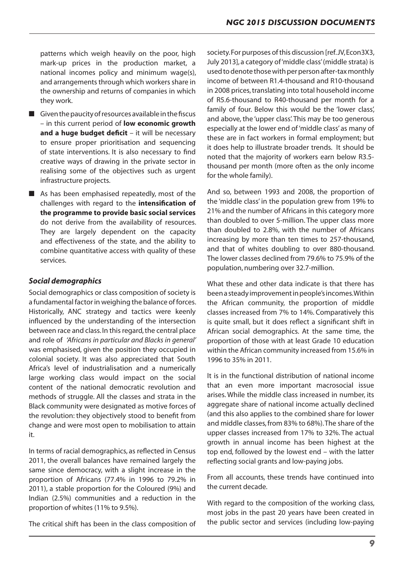patterns which weigh heavily on the poor, high mark-up prices in the production market, a national incomes policy and minimum wage(s), and arrangements through which workers share in the ownership and returns of companies in which they work.

- $\blacksquare$  Given the paucity of resources available in the fiscus – in this current period of **low economic growth and a huge budget deficit** – it will be necessary to ensure proper prioritisation and sequencing of state interventions. It is also necessary to find creative ways of drawing in the private sector in realising some of the objectives such as urgent infrastructure projects.
- As has been emphasised repeatedly, most of the challenges with regard to the **intensification of the programme to provide basic social services**  do not derive from the availability of resources. They are largely dependent on the capacity and effectiveness of the state, and the ability to combine quantitative access with quality of these services.

#### *Social demographics*

Social demographics or class composition of society is a fundamental factor in weighing the balance of forces. Historically, ANC strategy and tactics were keenly influenced by the understanding of the intersection between race and class. In this regard, the central place and role of *'Africans in particular and Blacks in general'*  was emphasised, given the position they occupied in colonial society. It was also appreciated that South Africa's level of industrialisation and a numerically large working class would impact on the social content of the national democratic revolution and methods of struggle. All the classes and strata in the Black community were designated as motive forces of the revolution: they objectively stood to benefit from change and were most open to mobilisation to attain it.

In terms of racial demographics, as reflected in Census 2011, the overall balances have remained largely the same since democracy, with a slight increase in the proportion of Africans (77.4% in 1996 to 79.2% in 2011), a stable proportion for the Coloured (9%) and Indian (2.5%) communities and a reduction in the proportion of whites (11% to 9.5%).

The critical shift has been in the class composition of

society. For purposes of this discussion [ref.JV, Econ3X3, July 2013], a category of'middle class'(middle strata) is used to denote those with per person after-tax monthly income of between R1.4-thousand and R10-thousand in 2008 prices, translating into total household income of R5.6-thousand to R40-thousand per month for a family of four. Below this would be the 'lower class', and above, the 'upper class'. This may be too generous especially at the lower end of'middle class' as many of these are in fact workers in formal employment; but it does help to illustrate broader trends. It should be noted that the majority of workers earn below R3.5 thousand per month (more often as the only income for the whole family).

And so, between 1993 and 2008, the proportion of the 'middle class' in the population grew from 19% to 21% and the number of Africans in this category more than doubled to over 5-million. The upper class more than doubled to 2.8%, with the number of Africans increasing by more than ten times to 257-thousand, and that of whites doubling to over 880-thousand. The lower classes declined from 79.6% to 75.9% of the population, numbering over 32.7-million.

What these and other data indicate is that there has beenasteadyimprovementinpeople'sincomes.Within the African community, the proportion of middle classes increased from 7% to 14%. Comparatively this is quite small, but it does reflect a significant shift in African social demographics. At the same time, the proportion of those with at least Grade 10 education within the African community increased from 15.6% in 1996 to 35% in 2011.

It is in the functional distribution of national income that an even more important macrosocial issue arises. While the middle class increased in number, its aggregate share of national income actually declined (and this also applies to the combined share for lower and middle classes,from 83% to 68%).The share of the upper classes increased from 17% to 32%. The actual growth in annual income has been highest at the top end, followed by the lowest end – with the latter reflecting social grants and low-paying jobs.

From all accounts, these trends have continued into the current decade.

With regard to the composition of the working class, most jobs in the past 20 years have been created in the public sector and services (including low-paying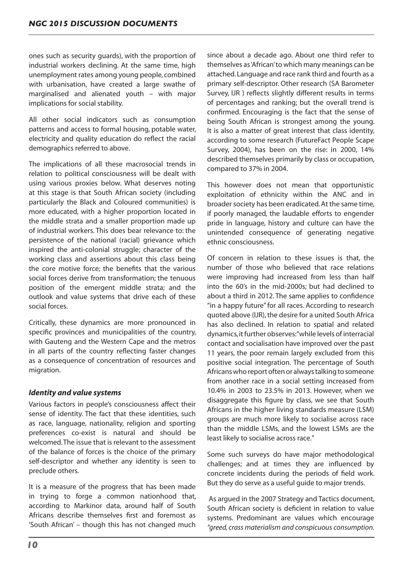ones such as security guards), with the proportion of industrial workers declining. At the same time, high unemployment rates among young people, combined with urbanisation, have created a large swathe of marginalised and alienated youth – with major implications for social stability.

All other social indicators such as consumption patterns and access to formal housing, potable water, electricity and quality education do reflect the racial demographics referred to above.

The implications of all these macrosocial trends in relation to political consciousness will be dealt with using various proxies below. What deserves noting at this stage is that South African society (including particularly the Black and Coloured communities) is more educated, with a higher proportion located in the middle strata and a smaller proportion made up of industrial workers. This does bear relevance to: the persistence of the national (racial) grievance which inspired the anti-colonial struggle; character of the working class and assertions about this class being the core motive force; the benefits that the various social forces derive from transformation; the tenuous position of the emergent middle strata; and the outlook and value systems that drive each of these social forces.

Critically, these dynamics are more pronounced in specific provinces and municipalities of the country, with Gauteng and the Western Cape and the metros in all parts of the country reflecting faster changes as a consequence of concentration of resources and migration.

#### *Identity and value systems*

Various factors in people's consciousness affect their sense of identity. The fact that these identities, such as race, language, nationality, religion and sporting preferences co-exist is natural and should be welcomed.The issue that is relevant to the assessment of the balance of forces is the choice of the primary self-descriptor and whether any identity is seen to preclude others.

It is a measure of the progress that has been made in trying to forge a common nationhood that, according to Markinor data, around half of South Africans describe themselves first and foremost as 'South African' – though this has not changed much since about a decade ago. About one third refer to themselves as'African'to which many meanings can be attached.Language and race rank third and fourth as a primary self-descriptor. Other research (SA Barometer Survey, IJR ) reflects slightly different results in terms of percentages and ranking; but the overall trend is confirmed. Encouraging is the fact that the sense of being South African is strongest among the young. It is also a matter of great interest that class identity, according to some research (FutureFact People Scape Survey, 2004), has been on the rise: in 2000, 14% described themselves primarily by class or occupation, compared to 37% in 2004.

This however does not mean that opportunistic exploitation of ethnicity within the ANC and in broader society has been eradicated. At the same time, if poorly managed, the laudable efforts to engender pride in language, history and culture can have the unintended consequence of generating negative ethnic consciousness.

Of concern in relation to these issues is that, the number of those who believed that race relations were improving had increased from less than half into the 60's in the mid-2000s; but had declined to about a third in 2012. The same applies to confidence "in a happy future"for all races. According to research quoted above (IJR), the desire for a united South Africa has also declined. In relation to spatial and related dynamics,itfurther observes:"while levels of interracial contact and socialisation have improved over the past 11 years, the poor remain largely excluded from this positive social integration. The percentage of South Africans who report often or always talking to someone from another race in a social setting increased from 10.4% in 2003 to 23.5% in 2013. However, when we disaggregate this figure by class, we see that South Africans in the higher living standards measure (LSM) groups are much more likely to socialise across race than the middle LSMs, and the lowest LSMs are the least likely to socialise across race."

Some such surveys do have major methodological challenges; and at times they are influenced by concrete incidents during the periods of field work. But they do serve as a useful guide to major trends.

As argued in the 2007 Strategy and Tactics document, South African society is deficient in relation to value systems. Predominant are values which encourage *"greed, crass materialism and conspicuous consumption.*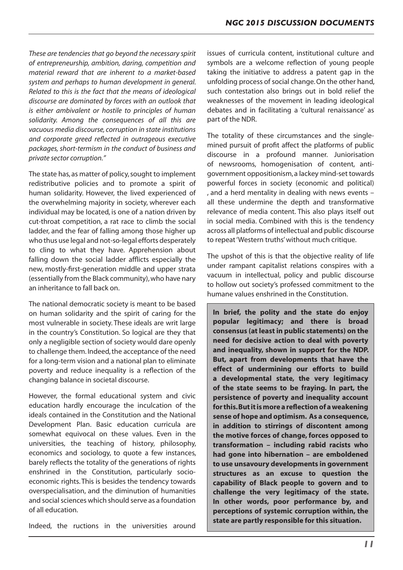*These are tendencies that go beyond the necessary spirit of entrepreneurship, ambition, daring, competition and material reward that are inherent to a market-based system and perhaps to human development in general. Related to this is the fact that the means of ideological discourse are dominated by forces with an outlook that is either ambivalent or hostile to principles of human solidarity. Among the consequences of all this are vacuous media discourse, corruption in state institutions and corporate greed reflected in outrageous executive packages, short-termism in the conduct of business and private sector corruption."*

The state has, as matter of policy, sought to implement redistributive policies and to promote a spirit of human solidarity. However, the lived experienced of the overwhelming majority in society, wherever each individual may be located, is one of a nation driven by cut-throat competition, a rat race to climb the social ladder, and the fear of falling among those higher up who thus use legal and not-so-legal efforts desperately to cling to what they have. Apprehension about falling down the social ladder afflicts especially the new, mostly-first-generation middle and upper strata (essentially from the Black community), who have nary an inheritance to fall back on.

The national democratic society is meant to be based on human solidarity and the spirit of caring for the most vulnerable in society. These ideals are writ large in the country's Constitution. So logical are they that only a negligible section of society would dare openly to challenge them. Indeed, the acceptance of the need for a long-term vision and a national plan to eliminate poverty and reduce inequality is a reflection of the changing balance in societal discourse.

However, the formal educational system and civic education hardly encourage the inculcation of the ideals contained in the Constitution and the National Development Plan. Basic education curricula are somewhat equivocal on these values. Even in the universities, the teaching of history, philosophy, economics and sociology, to quote a few instances, barely reflects the totality of the generations of rights enshrined in the Constitution, particularly socioeconomic rights.This is besides the tendency towards overspecialisation, and the diminution of humanities and social sciences which should serve as a foundation of all education.

Indeed, the ructions in the universities around

issues of curricula content, institutional culture and symbols are a welcome reflection of young people taking the initiative to address a patent gap in the unfolding process of social change.On the other hand, such contestation also brings out in bold relief the weaknesses of the movement in leading ideological debates and in facilitating a 'cultural renaissance' as part of the NDR.

The totality of these circumstances and the singlemined pursuit of profit affect the platforms of public discourse in a profound manner. Juniorisation of newsrooms, homogenisation of content, antigovernment oppositionism,a lackey mind-set towards powerful forces in society (economic and political) , and a herd mentality in dealing with news events – all these undermine the depth and transformative relevance of media content. This also plays itself out in social media. Combined with this is the tendency across all platforms of intellectual and public discourse to repeat'Western truths'without much critique.

The upshot of this is that the objective reality of life under rampant capitalist relations conspires with a vacuum in intellectual, policy and public discourse to hollow out society's professed commitment to the humane values enshrined in the Constitution.

**In brief, the polity and the state do enjoy popular legitimacy; and there is broad consensus (at least in public statements) on the need for decisive action to deal with poverty and inequality, shown in support for the NDP. But, apart from developments that have the effect of undermining our efforts to build a developmental state, the very legitimacy of the state seems to be fraying. In part, the persistence of poverty and inequality account for this. But it is more a reflection of a weakening sense of hope and optimism. As a consequence, in addition to stirrings of discontent among the motive forces of change, forces opposed to transformation – including rabid racists who had gone into hibernation – are emboldened to use unsavoury developments in government structures as an excuse to question the capability of Black people to govern and to challenge the very legitimacy of the state. In other words, poor performance by, and perceptions of systemic corruption within, the state are partly responsible for this situation.**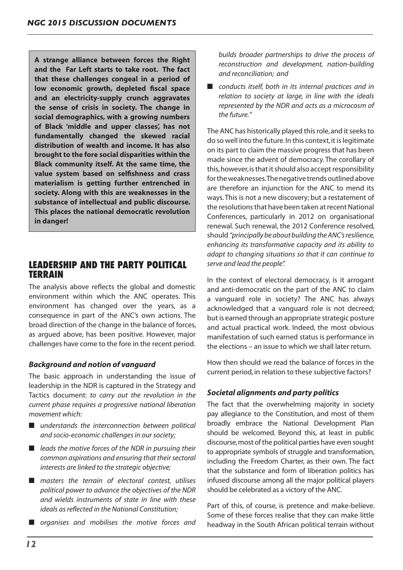**A strange alliance between forces the Right and the Far Left starts to take root. The fact that these challenges congeal in a period of low economic growth, depleted fiscal space and an electricity-supply crunch aggravates the sense of crisis in society. The change in social demographics, with a growing numbers of Black 'middle and upper classes', has not fundamentally changed the skewed racial distribution of wealth and income. It has also brought to the fore social disparities within the Black community itself. At the same time, the value system based on selfishness and crass materialism is getting further entrenched in society. Along with this are weaknesses in the substance of intellectual and public discourse. This places the national democratic revolution in danger!** 

# **LEADERSHIP AND THE PARTY POLITICAL TERRAIN**

The analysis above reflects the global and domestic environment within which the ANC operates. This environment has changed over the years, as a consequence in part of the ANC's own actions. The broad direction of the change in the balance of forces, as argued above, has been positive. However, major challenges have come to the fore in the recent period.

## *Background and notion of vanguard*

The basic approach in understanding the issue of leadership in the NDR is captured in the Strategy and Tactics document: *to carry out the revolution in the current phase requires a progressive national liberation movement which:*

- *understands the interconnection between political and socio-economic challenges in our society;*
- *leads the motive forces of the NDR in pursuing their common aspirations and ensuring that their sectoral interests are linked to the strategic objective;*
- *masters the terrain of electoral contest, utilises political power to advance the objectives of the NDR and wields instruments of state in line with these ideals as reflected in the National Constitution;*
- *organises and mobilises the motive forces and*

*builds broader partnerships to drive the process of reconstruction and development, nation-building and reconciliation; and*

■ *conducts itself, both in its internal practices and in relation to society at large, in line with the ideals represented by the NDR and acts as a microcosm of the future."*

The ANC has historically played this role, and it seeks to do so well into the future.In this context,it islegitimate on its part to claim the massive progressthat has been made since the advent of democracy. The corollary of this, however, is that it should also accept responsibility for the weaknesses. The negative trends outlined above are therefore an injunction for the ANC to mend its ways.This is not a new discovery; but a restatement of the resolutions that have been taken at recent National Conferences, particularly in 2012 on organisational renewal. Such renewal, the 2012 Conference resolved, should *"principally be about building the ANC's resilience, enhancing its transformative capacity and its ability to adapt to changing situations so that it can continue to serve and lead the people".* 

In the context of electoral democracy, is it arrogant and anti-democratic on the part of the ANC to claim a vanguard role in society? The ANC has always acknowledged that a vanguard role is not decreed; but is earned through an appropriate strategic posture and actual practical work. Indeed, the most obvious manifestation of such earned status is performance in the elections – an issue to which we shall later return.

How then should we read the balance of forces in the current period, in relation to these subjective factors?

#### *Societal alignments and party politics*

The fact that the overwhelming majority in society pay allegiance to the Constitution, and most of them broadly embrace the National Development Plan should be welcomed. Beyond this, at least in public discourse, most of the political parties have even sought to appropriate symbols of struggle and transformation, including the Freedom Charter, as their own. The fact that the substance and form of liberation politics has infused discourse among all the major political players should be celebrated as a victory of the ANC.

Part of this, of course, is pretence and make-believe. Some of these forces realise that they can make little headway in the South African political terrain without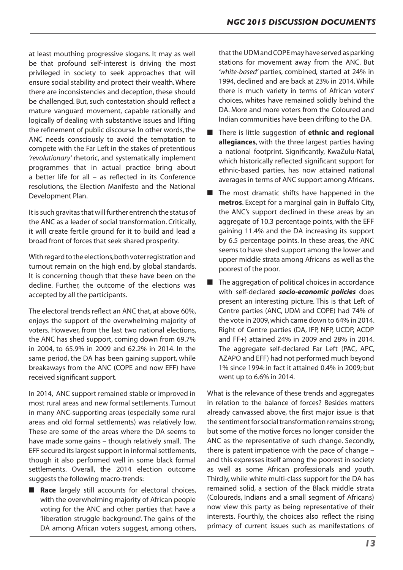at least mouthing progressive slogans. It may as well be that profound self-interest is driving the most privileged in society to seek approaches that will ensure social stability and protect their wealth.Where there are inconsistencies and deception, these should be challenged. But, such contestation should reflect a mature vanguard movement, capable rationally and logically of dealing with substantive issues and lifting the refinement of public discourse. In other words, the ANC needs consciously to avoid the temptation to compete with the Far Left in the stakes of pretentious *'revolutionary'* rhetoric, and systematically implement programmes that in actual practice bring about a better life for all – as reflected in its Conference resolutions, the Election Manifesto and the National Development Plan.

It is such gravitas that will further entrench the status of the ANC as a leader of social transformation. Critically, it will create fertile ground for it to build and lead a broad front of forces that seek shared prosperity.

With regard to the elections, both voter registration and turnout remain on the high end, by global standards. It is concerning though that these have been on the decline. Further, the outcome of the elections was accepted by all the participants.

The electoral trends reflect an ANC that, at above 60%, enjoys the support of the overwhelming majority of voters. However, from the last two national elections, the ANC has shed support, coming down from 69.7% in 2004, to 65.9% in 2009 and 62.2% in 2014. In the same period, the DA has been gaining support, while breakaways from the ANC (COPE and now EFF) have received significant support.

In 2014, ANC support remained stable or improved in most rural areas and new formal settlements. Turnout in many ANC-supporting areas (especially some rural areas and old formal settlements) was relatively low. These are some of the areas where the DA seems to have made some gains – though relatively small. The EFF secured its largest support in informal settlements, though it also performed well in some black formal settlements. Overall, the 2014 election outcome suggests the following macro-trends:

■ **Race** largely still accounts for electoral choices, with the overwhelming majority of African people voting for the ANC and other parties that have a 'liberation struggle background'. The gains of the DA among African voters suggest, among others, that the UDM and COPE may have served as parking stations for movement away from the ANC. But *'white-based'* parties, combined, started at 24% in 1994, declined and are back at 23% in 2014. While there is much variety in terms of African voters' choices, whites have remained solidly behind the DA. More and more voters from the Coloured and Indian communities have been drifting to the DA.

- There is little suggestion of **ethnic and regional allegiances**, with the three largest parties having a national footprint. Significantly, KwaZulu-Natal, which historically reflected significant support for ethnic-based parties, has now attained national averages in terms of ANC support among Africans.
- The most dramatic shifts have happened in the **metros**. Except for a marginal gain in Buffalo City, the ANC's support declined in these areas by an aggregate of 10.3 percentage points, with the EFF gaining 11.4% and the DA increasing its support by 6.5 percentage points. In these areas, the ANC seems to have shed support among the lower and upper middle strata among Africans as well as the poorest of the poor.
- The aggregation of political choices in accordance with self-declared *socio-economic policies* does present an interesting picture. This is that Left of Centre parties (ANC, UDM and COPE) had 74% of the vote in 2009,which came down to 64% in 2014. Right of Centre parties (DA, IFP, NFP, UCDP, ACDP and FF+) attained 24% in 2009 and 28% in 2014. The aggregate self-declared Far Left (PAC, APC, AZAPO and EFF) had not performed much beyond 1% since 1994: in fact it attained 0.4% in 2009; but went up to 6.6% in 2014.

What is the relevance of these trends and aggregates in relation to the balance of forces? Besides matters already canvassed above, the first major issue is that the sentiment for social transformation remains strong; but some of the motive forces no longer consider the ANC as the representative of such change. Secondly, there is patent impatience with the pace of change – and this expresses itself among the poorest in society as well as some African professionals and youth. Thirdly, while white multi-class support for the DA has remained solid, a section of the Black middle strata (Coloureds, Indians and a small segment of Africans) now view this party as being representative of their interests. Fourthly, the choices also reflect the rising primacy of current issues such as manifestations of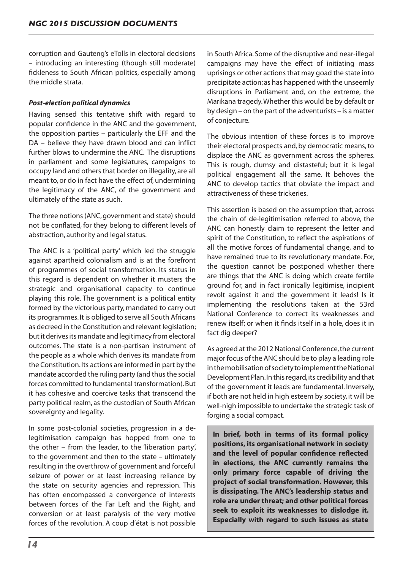corruption and Gauteng's eTolls in electoral decisions – introducing an interesting (though still moderate) fickleness to South African politics, especially among the middle strata.

#### *Post-election political dynamics*

Having sensed this tentative shift with regard to popular confidence in the ANC and the government, the opposition parties – particularly the EFF and the DA – believe they have drawn blood and can inflict further blows to undermine the ANC. The disruptions in parliament and some legislatures, campaigns to occupy land and others that border on illegality, are all meant to, or do in fact have the effect of, undermining the legitimacy of the ANC, of the government and ultimately of the state as such.

The three notions (ANC, government and state) should not be conflated, for they belong to different levels of abstraction, authority and legal status.

The ANC is a 'political party' which led the struggle against apartheid colonialism and is at the forefront of programmes of social transformation. Its status in this regard is dependent on whether it musters the strategic and organisational capacity to continue playing this role. The government is a political entity formed by the victorious party, mandated to carry out its programmes.It is obliged to serve all South Africans as decreed in the Constitution and relevant legislation; but it derives its mandate and legitimacy from electoral outcomes. The state is a non-partisan instrument of the people as a whole which derives its mandate from the Constitution.Its actions are informed in part by the mandate accorded the ruling party (and thus the social forces committed to fundamental transformation).But it has cohesive and coercive tasks that transcend the party political realm, as the custodian of South African sovereignty and legality.

In some post-colonial societies, progression in a delegitimisation campaign has hopped from one to the other – from the leader, to the 'liberation party', to the government and then to the state – ultimately resulting in the overthrow of government and forceful seizure of power or at least increasing reliance by the state on security agencies and repression. This has often encompassed a convergence of interests between forces of the Far Left and the Right, and conversion or at least paralysis of the very motive forces of the revolution. A coup d'état is not possible in South Africa. Some of the disruptive and near-illegal campaigns may have the effect of initiating mass uprisings or other actionsthat may goad the state into precipitate action;as has happened with the unseemly disruptions in Parliament and, on the extreme, the Marikana tragedy.Whether this would be by default or by design – on the part of the adventurists – is a matter of conjecture.

The obvious intention of these forces is to improve their electoral prospects and, by democratic means,to displace the ANC as government across the spheres. This is rough, clumsy and distasteful; but it is legal political engagement all the same. It behoves the ANC to develop tactics that obviate the impact and attractiveness of these trickeries.

This assertion is based on the assumption that, across the chain of de-legitimisation referred to above, the ANC can honestly claim to represent the letter and spirit of the Constitution, to reflect the aspirations of all the motive forces of fundamental change, and to have remained true to its revolutionary mandate. For, the question cannot be postponed whether there are things that the ANC is doing which create fertile ground for, and in fact ironically legitimise, incipient revolt against it and the government it leads! Is it implementing the resolutions taken at the 53rd National Conference to correct its weaknesses and renew itself; or when it finds itself in a hole, does it in fact dig deeper?

As agreed at the 2012 National Conference,the current major focus of the ANC should be to play a leading role in the mobilisation of society to implement the National Development Plan.In thisregard,its credibility and that of the government it leads are fundamental. Inversely, if both are not held in high esteem by society, it will be well-nigh impossible to undertake the strategic task of forging a social compact.

**In brief, both in terms of its formal policy positions, its organisational network in society and the level of popular confidence reflected in elections, the ANC currently remains the only primary force capable of driving the project of social transformation. However, this is dissipating. The ANC's leadership status and role are under threat; and other political forces seek to exploit its weaknesses to dislodge it. Especially with regard to such issues as state**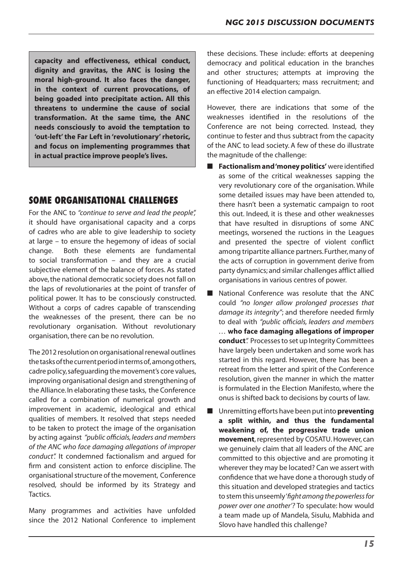**capacity and effectiveness, ethical conduct, dignity and gravitas, the ANC is losing the moral high-ground. It also faces the danger, in the context of current provocations, of being goaded into precipitate action. All this threatens to undermine the cause of social transformation. At the same time, the ANC needs consciously to avoid the temptation to 'out-left' the Far Left in 'revolutionary' rhetoric, and focus on implementing programmes that in actual practice improve people's lives.** 

# **SOME ORGANISATIONAL CHALLENGES**

For the ANC to *"continue to serve and lead the people",* it should have organisational capacity and a corps of cadres who are able to give leadership to society at large – to ensure the hegemony of ideas of social change. Both these elements are fundamental to social transformation – and they are a crucial subjective element of the balance of forces. As stated above, the national democratic society does not fall on the laps of revolutionaries at the point of transfer of political power. It has to be consciously constructed. Without a corps of cadres capable of transcending the weaknesses of the present, there can be no revolutionary organisation. Without revolutionary organisation, there can be no revolution.

The 2012 resolution on organisational renewal outlines thetasksofthecurrentperiodintermsof, amongothers, cadre policy,safeguarding the movement's core values, improving organisational design and strengthening of the Alliance.In elaborating these tasks, the Conference called for a combination of numerical growth and improvement in academic, ideological and ethical qualities of members. It resolved that steps needed to be taken to protect the image of the organisation by acting against *"public officials, leaders and members of the ANC who face damaging allegations of improper conduct".* It condemned factionalism and argued for firm and consistent action to enforce discipline. The organisationalstructure of the movement, Conference resolved, should be informed by its Strategy and Tactics.

Many programmes and activities have unfolded since the 2012 National Conference to implement these decisions. These include: efforts at deepening democracy and political education in the branches and other structures; attempts at improving the functioning of Headquarters; mass recruitment; and an effective 2014 election campaign.

However, there are indications that some of the weaknesses identified in the resolutions of the Conference are not being corrected. Instead, they continue to fester and thus subtract from the capacity of the ANC to lead society. A few of these do illustrate the magnitude of the challenge:

- **Factionalism and 'money politics'** were identified as some of the critical weaknesses sapping the very revolutionary core of the organisation. While some detailed issues may have been attended to, there hasn't been a systematic campaign to root this out. Indeed, it is these and other weaknesses that have resulted in disruptions of some ANC meetings, worsened the ructions in the Leagues and presented the spectre of violent conflict among tripartite alliance partners. Further, many of the acts of corruption in government derive from party dynamics; and similar challenges afflict allied organisations in various centres of power.
- National Conference was resolute that the ANC could *"no longer allow prolonged processes that damage its integrity"*; and therefore needed firmly to deal with *"public officials, leaders and members …* **who face damaging allegations of improper conduct***".* Processesto set up Integrity Committees have largely been undertaken and some work has started in this regard. However, there has been a retreat from the letter and spirit of the Conference resolution, given the manner in which the matter is formulated in the Election Manifesto, where the onus is shifted back to decisions by courts of law.
- Unremitting efforts have been put into **preventing a split within, and thus the fundamental weakening of, the progressive trade union movement**, represented by COSATU. However, can we genuinely claim that all leaders of the ANC are committed to this objective and are promoting it wherever they may be located? Can we assert with confidence that we have done a thorough study of this situation and developed strategies and tactics to stem this unseemly'*fight among the powerless for power over one another'?* To speculate: how would a team made up of Mandela, Sisulu, Mabhida and Slovo have handled this challenge?